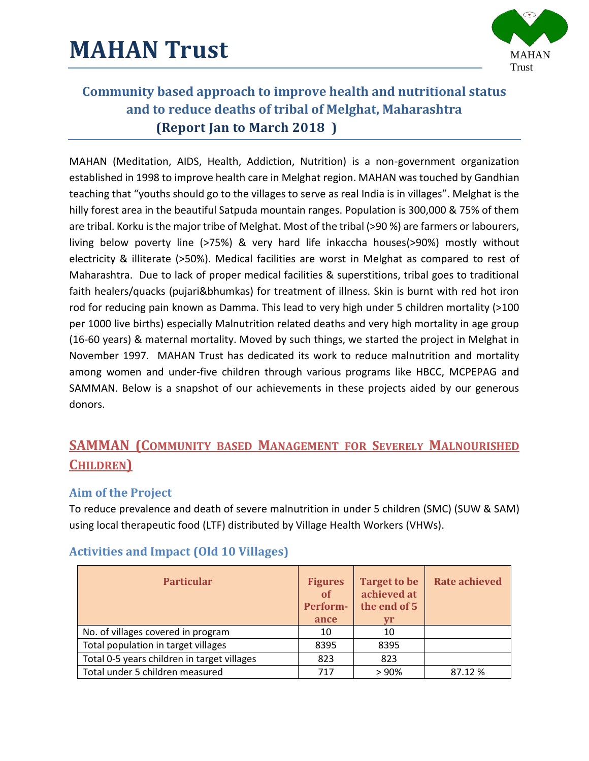

MAHAN (Meditation, AIDS, Health, Addiction, Nutrition) is a non-government organization established in 1998 to improve health care in Melghat region. MAHAN was touched by Gandhian teaching that "youths should go to the villages to serve as real India is in villages". Melghat is the hilly forest area in the beautiful Satpuda mountain ranges. Population is 300,000 & 75% of them are tribal. Korku is the major tribe of Melghat. Most of the tribal (>90 %) are farmers or labourers, living below poverty line (>75%) & very hard life inkaccha houses(>90%) mostly without electricity & illiterate (>50%). Medical facilities are worst in Melghat as compared to rest of Maharashtra. Due to lack of proper medical facilities & superstitions, tribal goes to traditional faith healers/quacks (pujari&bhumkas) for treatment of illness. Skin is burnt with red hot iron rod for reducing pain known as Damma. This lead to very high under 5 children mortality (>100 per 1000 live births) especially Malnutrition related deaths and very high mortality in age group (16-60 years) & maternal mortality. Moved by such things, we started the project in Melghat in November 1997. MAHAN Trust has dedicated its work to reduce malnutrition and mortality among women and under-five children through various programs like HBCC, MCPEPAG and SAMMAN. Below is a snapshot of our achievements in these projects aided by our generous donors.

### **SAMMAN (COMMUNITY BASED MANAGEMENT FOR SEVERELY MALNOURISHED CHILDREN)**

### **Aim of the Project**

To reduce prevalence and death of severe malnutrition in under 5 children (SMC) (SUW & SAM) using local therapeutic food (LTF) distributed by Village Health Workers (VHWs).

| <b>Particular</b>                           | <b>Figures</b><br>of<br>Perform-<br>ance | <b>Target to be</b><br>achieved at<br>the end of 5 | Rate achieved |
|---------------------------------------------|------------------------------------------|----------------------------------------------------|---------------|
| No. of villages covered in program          | 10                                       | 10                                                 |               |
| Total population in target villages         | 8395                                     | 8395                                               |               |
| Total 0-5 years children in target villages | 823                                      | 823                                                |               |
| Total under 5 children measured             | 717                                      | >90%                                               | 87.12 %       |

### **Activities and Impact (Old 10 Villages)**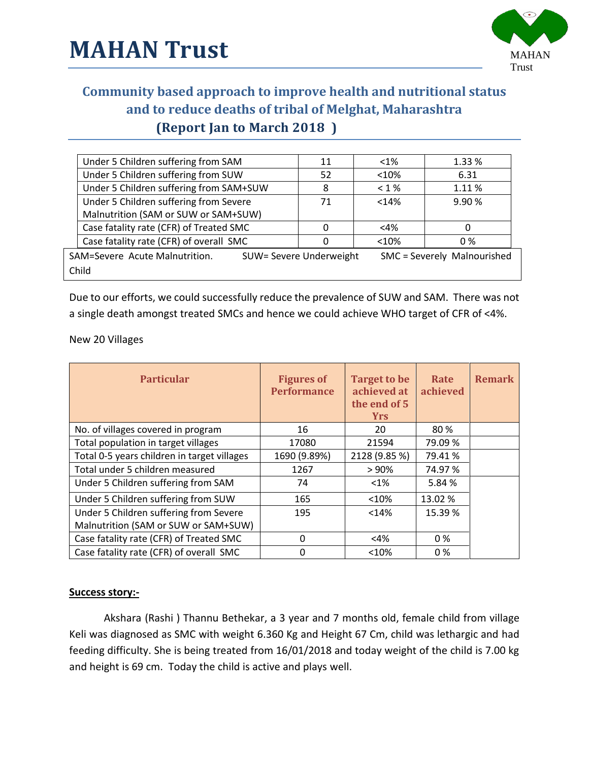

| Under 5 Children suffering from SAM     | 11                      | $<$ 1% | 1.33%                       |
|-----------------------------------------|-------------------------|--------|-----------------------------|
| Under 5 Children suffering from SUW     | 52                      | < 10%  | 6.31                        |
| Under 5 Children suffering from SAM+SUW | 8                       | < 1%   | 1.11 %                      |
| Under 5 Children suffering from Severe  | 71                      | < 14%  | 9.90%                       |
| Malnutrition (SAM or SUW or SAM+SUW)    |                         |        |                             |
| Case fatality rate (CFR) of Treated SMC | 0                       | $<$ 4% | 0                           |
| Case fatality rate (CFR) of overall SMC |                         | < 10%  | $0\%$                       |
| SAM=Severe Acute Malnutrition.          | SUW= Severe Underweight |        | SMC = Severely Malnourished |
| Child                                   |                         |        |                             |

Due to our efforts, we could successfully reduce the prevalence of SUW and SAM. There was not a single death amongst treated SMCs and hence we could achieve WHO target of CFR of <4%.

New 20 Villages

| <b>Particular</b>                           | <b>Figures of</b><br><b>Performance</b> | <b>Target to be</b><br>achieved at<br>the end of 5<br><b>Yrs</b> | Rate<br>achieved | <b>Remark</b> |
|---------------------------------------------|-----------------------------------------|------------------------------------------------------------------|------------------|---------------|
| No. of villages covered in program          | 16                                      | 20                                                               | 80%              |               |
| Total population in target villages         | 17080                                   | 21594                                                            | 79.09%           |               |
| Total 0-5 years children in target villages | 1690 (9.89%)                            | 2128 (9.85 %)                                                    | 79.41%           |               |
| Total under 5 children measured             | 1267                                    | > 90%                                                            | 74.97%           |               |
| Under 5 Children suffering from SAM         | 74                                      | $< 1\%$                                                          | 5.84 %           |               |
| Under 5 Children suffering from SUW         | 165                                     | < 10%                                                            | 13.02 %          |               |
| Under 5 Children suffering from Severe      | 195                                     | < 14%                                                            | 15.39 %          |               |
| Malnutrition (SAM or SUW or SAM+SUW)        |                                         |                                                                  |                  |               |
| Case fatality rate (CFR) of Treated SMC     | 0                                       | $<$ 4%                                                           | 0 %              |               |
| Case fatality rate (CFR) of overall SMC     | 0                                       | < 10%                                                            | 0%               |               |

#### **Success story:-**

Akshara (Rashi ) Thannu Bethekar, a 3 year and 7 months old, female child from village Keli was diagnosed as SMC with weight 6.360 Kg and Height 67 Cm, child was lethargic and had feeding difficulty. She is being treated from 16/01/2018 and today weight of the child is 7.00 kg and height is 69 cm. Today the child is active and plays well.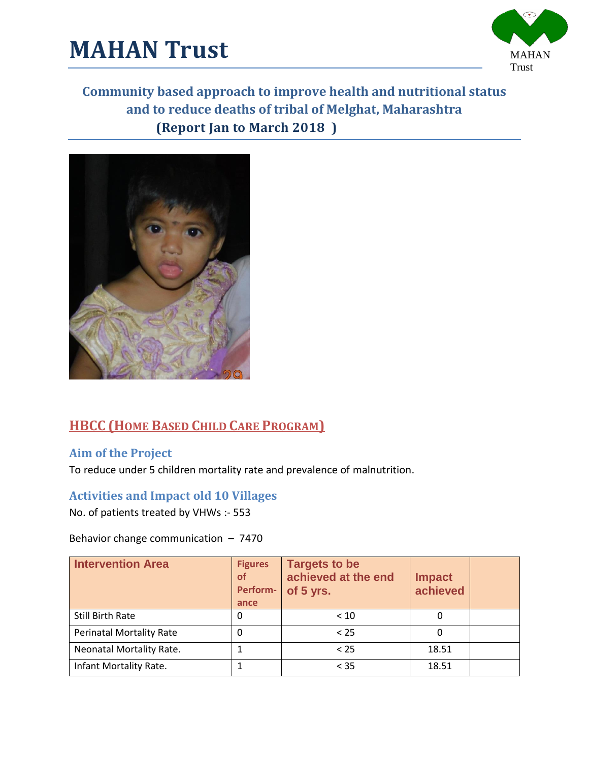





### **HBCC (HOME BASED CHILD CARE PROGRAM)**

### **Aim of the Project**

To reduce under 5 children mortality rate and prevalence of malnutrition.

#### **Activities and Impact old 10 Villages**

No. of patients treated by VHWs :- 553

Behavior change communication – 7470

| <b>Intervention Area</b>        | <b>Figures</b><br><b>of</b><br>Perform-<br>ance | <b>Targets to be</b><br>achieved at the end<br>of 5 yrs. | <b>Impact</b><br>achieved |  |
|---------------------------------|-------------------------------------------------|----------------------------------------------------------|---------------------------|--|
| Still Birth Rate                | 0                                               | < 10                                                     |                           |  |
| <b>Perinatal Mortality Rate</b> | 0                                               | < 25                                                     |                           |  |
| Neonatal Mortality Rate.        |                                                 | < 25                                                     | 18.51                     |  |
| Infant Mortality Rate.          |                                                 | $<$ 35                                                   | 18.51                     |  |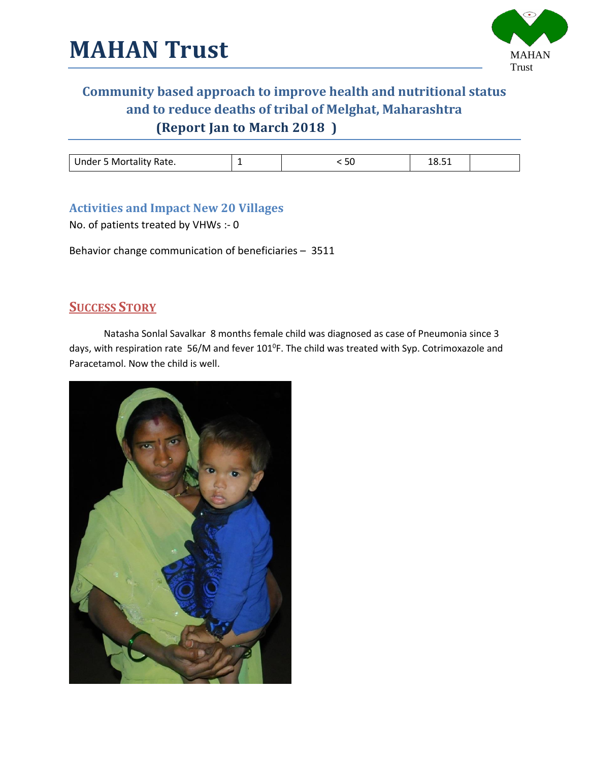

| Under 5 Mortality Rate. | 50 | د18.5 |  |
|-------------------------|----|-------|--|

### **Activities and Impact New 20 Villages**

No. of patients treated by VHWs :- 0

Behavior change communication of beneficiaries – 3511

#### **SUCCESS STORY**

Natasha Sonlal Savalkar 8 months female child was diagnosed as case of Pneumonia since 3 days, with respiration rate 56/M and fever 101<sup>0</sup>F. The child was treated with Syp. Cotrimoxazole and Paracetamol. Now the child is well.

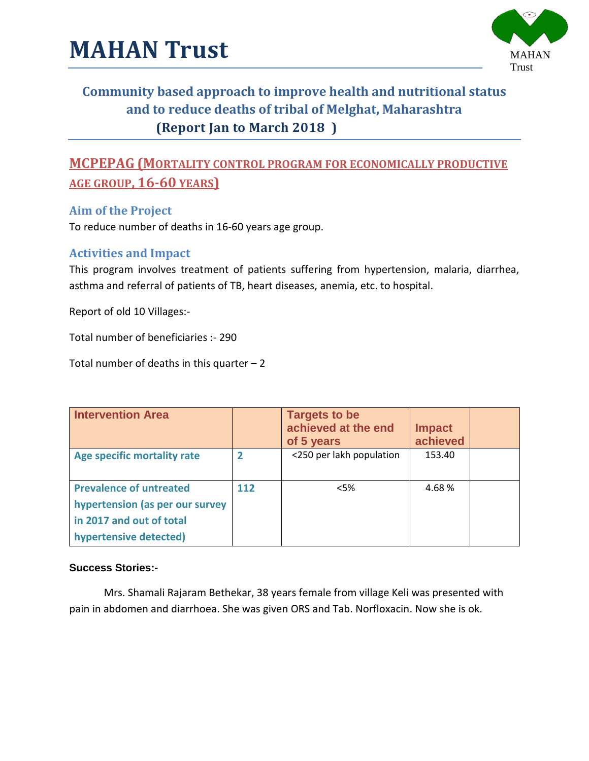

### **MCPEPAG (MORTALITY CONTROL PROGRAM FOR ECONOMICALLY PRODUCTIVE AGE GROUP, 16-60 YEARS)**

#### **Aim of the Project**

To reduce number of deaths in 16-60 years age group.

#### **Activities and Impact**

This program involves treatment of patients suffering from hypertension, malaria, diarrhea, asthma and referral of patients of TB, heart diseases, anemia, etc. to hospital.

Report of old 10 Villages:-

Total number of beneficiaries :- 290

Total number of deaths in this quarter  $-2$ 

| <b>Intervention Area</b>        |     | <b>Targets to be</b><br>achieved at the end<br>of 5 years | <b>Impact</b><br>achieved |  |
|---------------------------------|-----|-----------------------------------------------------------|---------------------------|--|
| Age specific mortality rate     | 2   | <250 per lakh population                                  | 153.40                    |  |
| <b>Prevalence of untreated</b>  | 112 | $<$ 5%                                                    | 4.68%                     |  |
| hypertension (as per our survey |     |                                                           |                           |  |
| in 2017 and out of total        |     |                                                           |                           |  |
| hypertensive detected)          |     |                                                           |                           |  |

#### **Success Stories:-**

Mrs. Shamali Rajaram Bethekar, 38 years female from village Keli was presented with pain in abdomen and diarrhoea. She was given ORS and Tab. Norfloxacin. Now she is ok.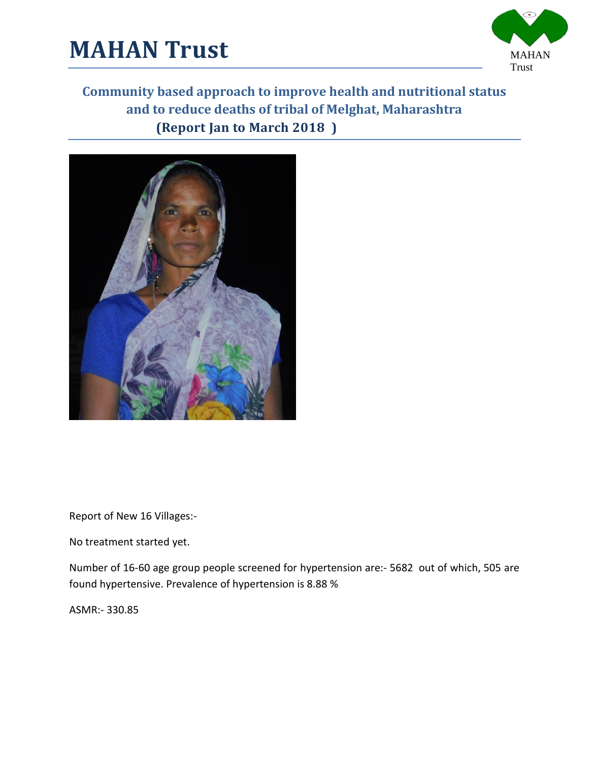





Report of New 16 Villages:-

No treatment started yet.

Number of 16-60 age group people screened for hypertension are:- 5682 out of which, 505 are found hypertensive. Prevalence of hypertension is 8.88 %

ASMR:- 330.85